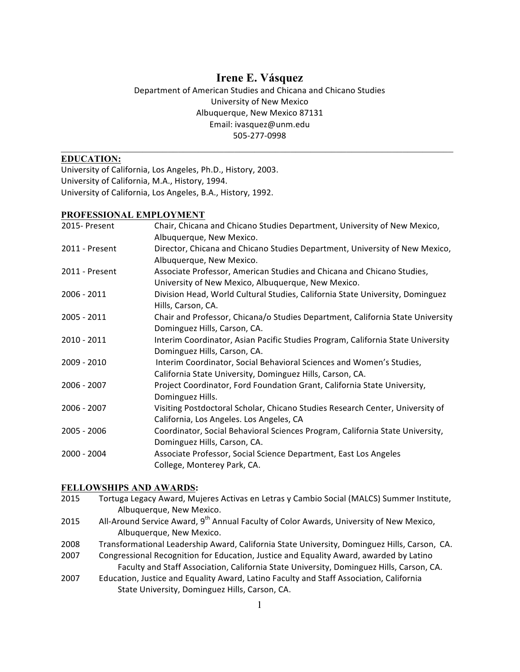# **Irene E. Vásquez**

# Department of American Studies and Chicana and Chicano Studies University of New Mexico Albuquerque, New Mexico 87131 Email: ivasquez@unm.edu 505-277-0998

 $\mathcal{L}_\mathcal{L} = \{ \mathcal{L}_\mathcal{L} = \{ \mathcal{L}_\mathcal{L} = \{ \mathcal{L}_\mathcal{L} = \{ \mathcal{L}_\mathcal{L} = \{ \mathcal{L}_\mathcal{L} = \{ \mathcal{L}_\mathcal{L} = \{ \mathcal{L}_\mathcal{L} = \{ \mathcal{L}_\mathcal{L} = \{ \mathcal{L}_\mathcal{L} = \{ \mathcal{L}_\mathcal{L} = \{ \mathcal{L}_\mathcal{L} = \{ \mathcal{L}_\mathcal{L} = \{ \mathcal{L}_\mathcal{L} = \{ \mathcal{L}_\mathcal{$ 

# **EDUCATION:**

University of California, Los Angeles, Ph.D., History, 2003. University of California, M.A., History, 1994. University of California, Los Angeles, B.A., History, 1992.

# **PROFESSIONAL EMPLOYMENT**

| 2015- Present  | Chair, Chicana and Chicano Studies Department, University of New Mexico,<br>Albuquerque, New Mexico.                              |
|----------------|-----------------------------------------------------------------------------------------------------------------------------------|
| 2011 - Present | Director, Chicana and Chicano Studies Department, University of New Mexico,<br>Albuquerque, New Mexico.                           |
| 2011 - Present | Associate Professor, American Studies and Chicana and Chicano Studies,<br>University of New Mexico, Albuquerque, New Mexico.      |
| 2006 - 2011    | Division Head, World Cultural Studies, California State University, Dominguez<br>Hills, Carson, CA.                               |
| 2005 - 2011    | Chair and Professor, Chicana/o Studies Department, California State University<br>Dominguez Hills, Carson, CA.                    |
| 2010 - 2011    | Interim Coordinator, Asian Pacific Studies Program, California State University<br>Dominguez Hills, Carson, CA.                   |
| 2009 - 2010    | Interim Coordinator, Social Behavioral Sciences and Women's Studies,<br>California State University, Dominguez Hills, Carson, CA. |
| $2006 - 2007$  | Project Coordinator, Ford Foundation Grant, California State University,<br>Dominguez Hills.                                      |
| 2006 - 2007    | Visiting Postdoctoral Scholar, Chicano Studies Research Center, University of<br>California, Los Angeles. Los Angeles, CA         |
| 2005 - 2006    | Coordinator, Social Behavioral Sciences Program, California State University,<br>Dominguez Hills, Carson, CA.                     |
| 2000 - 2004    | Associate Professor, Social Science Department, East Los Angeles<br>College, Monterey Park, CA.                                   |

# **FELLOWSHIPS AND AWARDS:**

| 2015 | Tortuga Legacy Award, Mujeres Activas en Letras y Cambio Social (MALCS) Summer Institute,           |
|------|-----------------------------------------------------------------------------------------------------|
|      | Albuquerque, New Mexico.                                                                            |
| 2015 | All-Around Service Award, 9 <sup>th</sup> Annual Faculty of Color Awards, University of New Mexico, |
|      | Albuquerque, New Mexico.                                                                            |
| 2008 | Transformational Leadership Award, California State University, Dominguez Hills, Carson, CA.        |
| 2007 | Congressional Recognition for Education, Justice and Equality Award, awarded by Latino              |
|      | Faculty and Staff Association, California State University, Dominguez Hills, Carson, CA.            |
| דחחר | Education, Justice and Equality Award, Lating Faculty and Staff Association, California             |

2007 Education, Justice and Equality Award, Latino Faculty and Staff Association, California State University, Dominguez Hills, Carson, CA.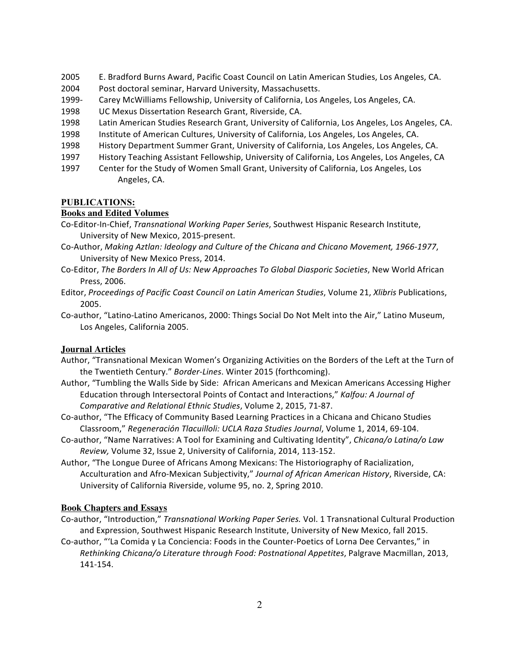- 2005 E. Bradford Burns Award, Pacific Coast Council on Latin American Studies, Los Angeles, CA.
- 2004 Post doctoral seminar, Harvard University, Massachusetts.
- 1999- Carey McWilliams Fellowship, University of California, Los Angeles, Los Angeles, CA.
- 1998 UC Mexus Dissertation Research Grant, Riverside, CA.
- 1998 Latin American Studies Research Grant, University of California, Los Angeles, Los Angeles, CA.
- 1998 Institute of American Cultures, University of California, Los Angeles, Los Angeles, CA.
- 1998 History Department Summer Grant, University of California, Los Angeles, Los Angeles, CA.
- 1997 History Teaching Assistant Fellowship, University of California, Los Angeles, Los Angeles, CA
- 1997 Center for the Study of Women Small Grant, University of California, Los Angeles, Los Angeles, CA.

# **PUBLICATIONS:**

# **Books and Edited Volumes**

Co-Editor-In-Chief, *Transnational Working Paper Series*, Southwest Hispanic Research Institute, University of New Mexico, 2015-present.

- Co-Author, *Making Aztlan: Ideology and Culture of the Chicana and Chicano Movement, 1966-1977*, University of New Mexico Press, 2014.
- Co-Editor, The Borders In All of Us: New Approaches To Global Diasporic Societies, New World African Press, 2006.
- Editor, Proceedings of Pacific Coast Council on Latin American Studies, Volume 21, Xlibris Publications, 2005.

Co-author, "Latino-Latino Americanos, 2000: Things Social Do Not Melt into the Air," Latino Museum, Los Angeles, California 2005.

# **Journal Articles**

- Author, "Transnational Mexican Women's Organizing Activities on the Borders of the Left at the Turn of the Twentieth Century." Border-Lines. Winter 2015 (forthcoming).
- Author, "Tumbling the Walls Side by Side: African Americans and Mexican Americans Accessing Higher Education through Intersectoral Points of Contact and Interactions," Kalfou: A Journal of *Comparative and Relational Ethnic Studies*, Volume 2, 2015, 71-87.
- Co-author, "The Efficacy of Community Based Learning Practices in a Chicana and Chicano Studies Classroom," Regeneración Tlacuilloli: UCLA Raza Studies Journal, Volume 1, 2014, 69-104.
- Co-author, "Name Narratives: A Tool for Examining and Cultivating Identity", *Chicana/o Latina/o Law Review, Volume 32, Issue 2, University of California, 2014, 113-152.*
- Author, "The Longue Duree of Africans Among Mexicans: The Historiography of Racialization, Acculturation and Afro-Mexican Subjectivity," Journal of African American History, Riverside, CA: University of California Riverside, volume 95, no. 2, Spring 2010.

# **Book Chapters and Essays**

- Co-author, "Introduction," *Transnational Working Paper Series.* Vol. 1 Transnational Cultural Production and Expression, Southwest Hispanic Research Institute, University of New Mexico, fall 2015.
- Co-author, "'La Comida y La Conciencia: Foods in the Counter-Poetics of Lorna Dee Cervantes," in *Rethinking Chicana/o Literature through Food: Postnational Appetites*, Palgrave Macmillan, 2013, 141-154.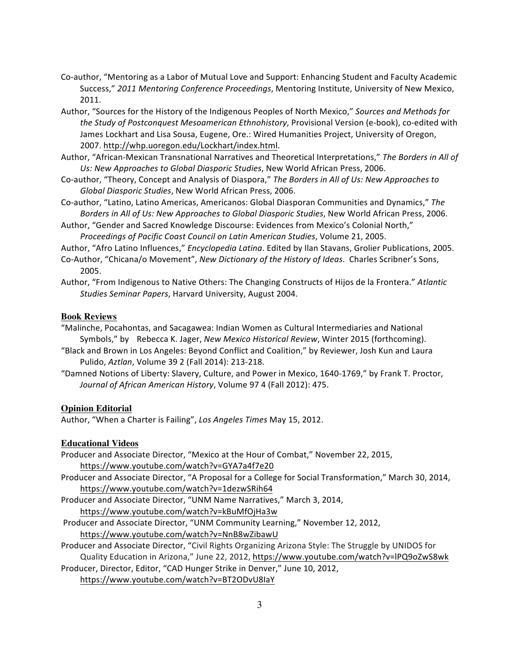- Co-author, "Mentoring as a Labor of Mutual Love and Support: Enhancing Student and Faculty Academic Success," 2011 Mentoring Conference Proceedings, Mentoring Institute, University of New Mexico, 2011.
- Author, "Sources for the History of the Indigenous Peoples of North Mexico," Sources and Methods for *the Study of Postconquest Mesoamerican Ethnohistory, Provisional Version (e-book), co-edited with* James Lockhart and Lisa Sousa, Eugene, Ore.: Wired Humanities Project, University of Oregon, 2007. http://whp.uoregon.edu/Lockhart/index.html.
- Author, "African-Mexican Transnational Narratives and Theoretical Interpretations," The Borders in All of Us: New Approaches to Global Diasporic Studies, New World African Press, 2006.
- Co-author, "Theory, Concept and Analysis of Diaspora," *The Borders in All of Us: New Approaches to Global Diasporic Studies*, New World African Press, 2006.
- Co-author, "Latino, Latino Americas, Americanos: Global Diasporan Communities and Dynamics," The Borders in All of Us: New Approaches to Global Diasporic Studies, New World African Press, 2006.
- Author, "Gender and Sacred Knowledge Discourse: Evidences from Mexico's Colonial North," *Proceedings of Pacific Coast Council on Latin American Studies*, Volume 21, 2005.
- Author, "Afro Latino Influences," *Encyclopedia Latina*. Edited by Ilan Stavans, Grolier Publications, 2005.
- Co-Author, "Chicana/o Movement", *New Dictionary of the History of Ideas*. Charles Scribner's Sons, 2005.
- Author, "From Indigenous to Native Others: The Changing Constructs of Hijos de la Frontera." Atlantic Studies Seminar Papers, Harvard University, August 2004.

### **Book Reviews**

"Malinche, Pocahontas, and Sacagawea: Indian Women as Cultural Intermediaries and National Symbols," by Rebecca K. Jager, *New Mexico Historical Review*, Winter 2015 (forthcoming).

- "Black and Brown in Los Angeles: Beyond Conflict and Coalition," by Reviewer, Josh Kun and Laura Pulido, *Aztlan*, *Volume 39 2 (Fall 2014): 213-218.*
- "Damned Notions of Liberty: Slavery, Culture, and Power in Mexico, 1640-1769," by Frank T. Proctor, Journal of African American History, Volume 97 4 (Fall 2012): 475.

#### **Opinion Editorial**

Author, "When a Charter is Failing", Los Angeles Times May 15, 2012.

#### **Educational Videos**

Producer and Associate Director, "Mexico at the Hour of Combat," November 22, 2015, https://www.youtube.com/watch?v=GYA7a4f7e20

Producer and Associate Director, "A Proposal for a College for Social Transformation," March 30, 2014, https://www.youtube.com/watch?v=1dezwSRih64

Producer and Associate Director, "UNM Name Narratives," March 3, 2014,

https://www.youtube.com/watch?v=kBuMfOjHa3w

Producer and Associate Director, "UNM Community Learning," November 12, 2012,

https://www.youtube.com/watch?v=NnB8wZibawU

- Producer and Associate Director, "Civil Rights Organizing Arizona Style: The Struggle by UNIDOS for Quality Education in Arizona," June 22, 2012, https://www.youtube.com/watch?v=lPQ9oZwS8wk
- Producer, Director, Editor, "CAD Hunger Strike in Denver," June 10, 2012,

https://www.youtube.com/watch?v=BT2ODvU8IaY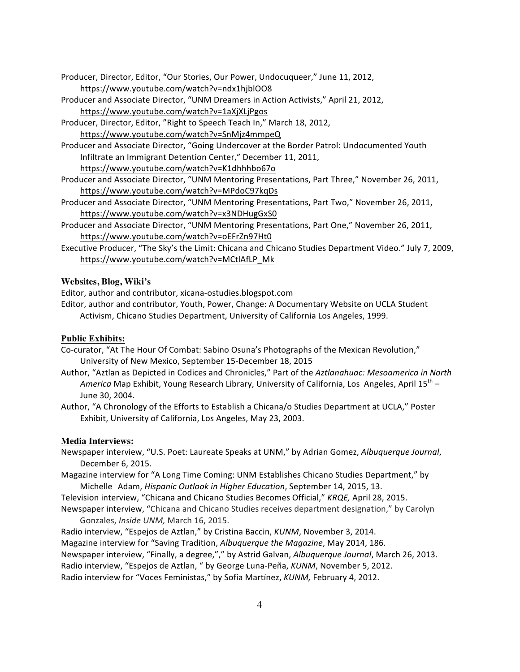Producer, Director, Editor, "Our Stories, Our Power, Undocuqueer," June 11, 2012, https://www.youtube.com/watch?v=ndx1hjblOO8

Producer and Associate Director, "UNM Dreamers in Action Activists," April 21, 2012, https://www.youtube.com/watch?v=1aXjXLjPgos

Producer, Director, Editor, "Right to Speech Teach In," March 18, 2012, https://www.youtube.com/watch?v=SnMjz4mmpeQ

Producer and Associate Director, "Going Undercover at the Border Patrol: Undocumented Youth Infiltrate an Immigrant Detention Center," December 11, 2011, https://www.youtube.com/watch?v=K1dhhhbo67o

- Producer and Associate Director, "UNM Mentoring Presentations, Part Three," November 26, 2011, https://www.youtube.com/watch?v=MPdoC97kqDs
- Producer and Associate Director, "UNM Mentoring Presentations, Part Two," November 26, 2011, https://www.youtube.com/watch?v=x3NDHugGxS0
- Producer and Associate Director, "UNM Mentoring Presentations, Part One," November 26, 2011, https://www.youtube.com/watch?v=oEFrZn97Ht0
- Executive Producer, "The Sky's the Limit: Chicana and Chicano Studies Department Video." July 7, 2009, https://www.youtube.com/watch?v=MCtlAfLP\_Mk

# **Websites, Blog, Wiki's**

Editor, author and contributor, xicana-ostudies.blogspot.com

Editor, author and contributor, Youth, Power, Change: A Documentary Website on UCLA Student Activism, Chicano Studies Department, University of California Los Angeles, 1999.

#### **Public Exhibits:**

- Co-curator, "At The Hour Of Combat: Sabino Osuna's Photographs of the Mexican Revolution," University of New Mexico, September 15-December 18, 2015
- Author, "Aztlan as Depicted in Codices and Chronicles," Part of the Aztlanahuac: Mesoamerica in North *America* Map Exhibit, Young Research Library, University of California, Los Angeles, April 15<sup>th</sup> – June 30, 2004.
- Author, "A Chronology of the Efforts to Establish a Chicana/o Studies Department at UCLA," Poster Exhibit, University of California, Los Angeles, May 23, 2003.

### **Media Interviews:**

- Newspaper interview, "U.S. Poet: Laureate Speaks at UNM," by Adrian Gomez, *Albuquerque Journal*, December 6, 2015.
- Magazine interview for "A Long Time Coming: UNM Establishes Chicano Studies Department," by Michelle Adam, *Hispanic Outlook in Higher Education*, September 14, 2015, 13.

Television interview, "Chicana and Chicano Studies Becomes Official," *KRQE*, April 28, 2015.

Newspaper interview, "Chicana and Chicano Studies receives department designation," by Carolyn Gonzales, *Inside UNM*, March 16, 2015.

Radio interview, "Espejos de Aztlan," by Cristina Baccin, *KUNM*, November 3, 2014. Magazine interview for "Saving Tradition, *Albuquerque the Magazine*, May 2014, 186. Newspaper interview, "Finally, a degree,"," by Astrid Galvan, Albuquerque Journal, March 26, 2013. Radio interview, "Espejos de Aztlan, " by George Luna-Peña, *KUNM*, November 5, 2012. Radio interview for "Voces Feministas," by Sofia Martínez, *KUNM*, February 4, 2012.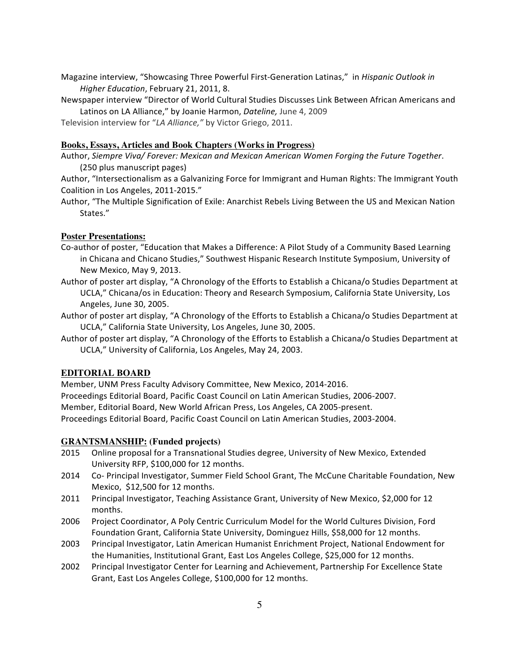- Magazine interview, "Showcasing Three Powerful First-Generation Latinas," in *Hispanic Outlook in Higher Education*, February 21, 2011, 8.
- Newspaper interview "Director of World Cultural Studies Discusses Link Between African Americans and Latinos on LA Alliance," by Joanie Harmon, *Dateline*, June 4, 2009

Television interview for "LA Alliance," by Victor Griego, 2011.

### **Books, Essays, Articles and Book Chapters (Works in Progress)**

Author, Siempre Viva/ Forever: Mexican and Mexican American Women Forging the Future Together. (250 plus manuscript pages)

Author, "Intersectionalism as a Galvanizing Force for Immigrant and Human Rights: The Immigrant Youth Coalition in Los Angeles, 2011-2015."

Author, "The Multiple Signification of Exile: Anarchist Rebels Living Between the US and Mexican Nation States."

### **Poster Presentations:**

- Co-author of poster, "Education that Makes a Difference: A Pilot Study of a Community Based Learning in Chicana and Chicano Studies," Southwest Hispanic Research Institute Symposium, University of New Mexico, May 9, 2013.
- Author of poster art display, "A Chronology of the Efforts to Establish a Chicana/o Studies Department at UCLA," Chicana/os in Education: Theory and Research Symposium, California State University, Los Angeles, June 30, 2005.
- Author of poster art display, "A Chronology of the Efforts to Establish a Chicana/o Studies Department at UCLA," California State University, Los Angeles, June 30, 2005.
- Author of poster art display, "A Chronology of the Efforts to Establish a Chicana/o Studies Department at UCLA," University of California, Los Angeles, May 24, 2003.

# **EDITORIAL BOARD**

Member, UNM Press Faculty Advisory Committee, New Mexico, 2014-2016. Proceedings Editorial Board, Pacific Coast Council on Latin American Studies, 2006-2007. Member, Editorial Board, New World African Press, Los Angeles, CA 2005-present. Proceedings Editorial Board, Pacific Coast Council on Latin American Studies, 2003-2004.

#### **GRANTSMANSHIP: (Funded projects)**

- 2015 Online proposal for a Transnational Studies degree, University of New Mexico, Extended University RFP, \$100,000 for 12 months.
- 2014 Co- Principal Investigator, Summer Field School Grant, The McCune Charitable Foundation, New Mexico, \$12,500 for 12 months.
- 2011 Principal Investigator, Teaching Assistance Grant, University of New Mexico, \$2,000 for 12 months.
- 2006 Project Coordinator, A Poly Centric Curriculum Model for the World Cultures Division, Ford Foundation Grant, California State University, Dominguez Hills, \$58,000 for 12 months.
- 2003 Principal Investigator, Latin American Humanist Enrichment Project, National Endowment for the Humanities, Institutional Grant, East Los Angeles College, \$25,000 for 12 months.
- 2002 Principal Investigator Center for Learning and Achievement, Partnership For Excellence State Grant, East Los Angeles College, \$100,000 for 12 months.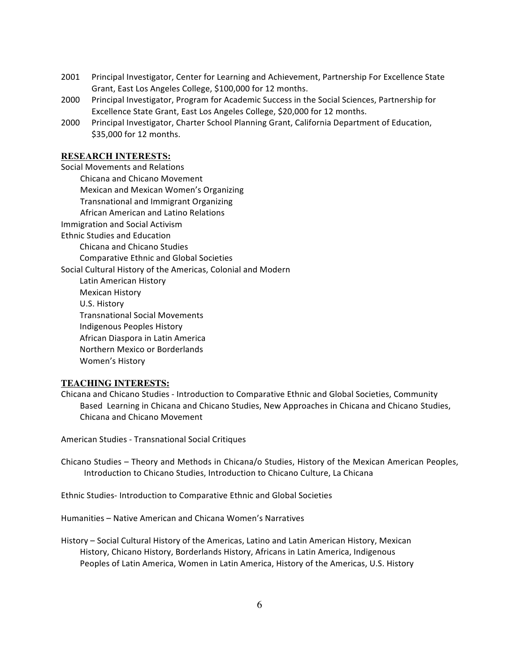- 2001 Principal Investigator, Center for Learning and Achievement, Partnership For Excellence State Grant, East Los Angeles College, \$100,000 for 12 months.
- 2000 Principal Investigator, Program for Academic Success in the Social Sciences, Partnership for Excellence State Grant, East Los Angeles College, \$20,000 for 12 months.
- 2000 Principal Investigator, Charter School Planning Grant, California Department of Education, \$35,000 for 12 months.

# **RESEARCH INTERESTS:**

Social Movements and Relations Chicana and Chicano Movement Mexican and Mexican Women's Organizing Transnational and Immigrant Organizing African American and Latino Relations Immigration and Social Activism Ethnic Studies and Education Chicana and Chicano Studies Comparative Ethnic and Global Societies Social Cultural History of the Americas, Colonial and Modern Latin American History Mexican History U.S. History Transnational Social Movements Indigenous Peoples History African Diaspora in Latin America Northern Mexico or Borderlands Women's History

# **TEACHING INTERESTS:**

Chicana and Chicano Studies - Introduction to Comparative Ethnic and Global Societies, Community Based Learning in Chicana and Chicano Studies, New Approaches in Chicana and Chicano Studies, Chicana and Chicano Movement

American Studies - Transnational Social Critiques

Chicano Studies - Theory and Methods in Chicana/o Studies, History of the Mexican American Peoples, Introduction to Chicano Studies, Introduction to Chicano Culture, La Chicana

Ethnic Studies- Introduction to Comparative Ethnic and Global Societies

Humanities – Native American and Chicana Women's Narratives

History - Social Cultural History of the Americas, Latino and Latin American History, Mexican History, Chicano History, Borderlands History, Africans in Latin America, Indigenous Peoples of Latin America, Women in Latin America, History of the Americas, U.S. History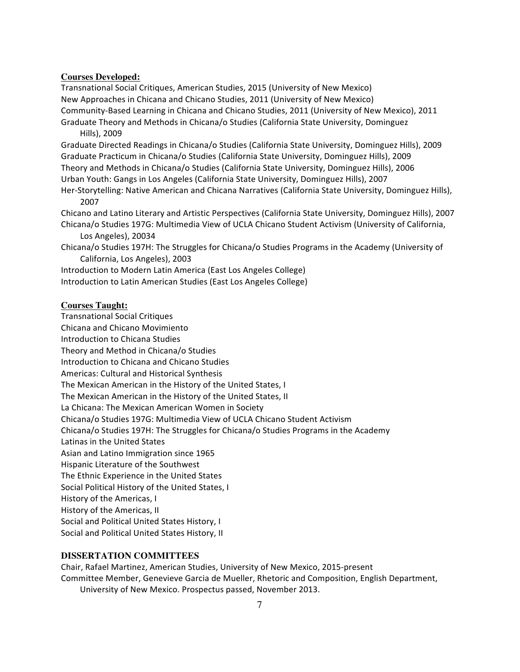#### **Courses Developed:**

Transnational Social Critiques, American Studies, 2015 (University of New Mexico) New Approaches in Chicana and Chicano Studies, 2011 (University of New Mexico) Community-Based Learning in Chicana and Chicano Studies, 2011 (University of New Mexico), 2011 Graduate Theory and Methods in Chicana/o Studies (California State University, Dominguez

### Hills), 2009

Graduate Directed Readings in Chicana/o Studies (California State University, Dominguez Hills), 2009 Graduate Practicum in Chicana/o Studies (California State University, Dominguez Hills), 2009 Theory and Methods in Chicana/o Studies (California State University, Dominguez Hills), 2006 Urban Youth: Gangs in Los Angeles (California State University, Dominguez Hills), 2007 Her-Storytelling: Native American and Chicana Narratives (California State University, Dominguez Hills),

2007

Chicano and Latino Literary and Artistic Perspectives (California State University, Dominguez Hills), 2007 Chicana/o Studies 197G: Multimedia View of UCLA Chicano Student Activism (University of California,

Los Angeles), 20034

Chicana/o Studies 197H: The Struggles for Chicana/o Studies Programs in the Academy (University of California, Los Angeles), 2003

Introduction to Modern Latin America (East Los Angeles College)

Introduction to Latin American Studies (East Los Angeles College)

### **Courses Taught:**

Transnational Social Critiques Chicana and Chicano Movimiento Introduction to Chicana Studies Theory and Method in Chicana/o Studies Introduction to Chicana and Chicano Studies Americas: Cultural and Historical Synthesis The Mexican American in the History of the United States, I The Mexican American in the History of the United States, II La Chicana: The Mexican American Women in Society Chicana/o Studies 197G: Multimedia View of UCLA Chicano Student Activism Chicana/o Studies 197H: The Struggles for Chicana/o Studies Programs in the Academy Latinas in the United States Asian and Latino Immigration since 1965 Hispanic Literature of the Southwest The Ethnic Experience in the United States Social Political History of the United States, I History of the Americas, I History of the Americas, II Social and Political United States History, I Social and Political United States History, II

# **DISSERTATION COMMITTEES**

Chair, Rafael Martinez, American Studies, University of New Mexico, 2015-present Committee Member, Genevieve Garcia de Mueller, Rhetoric and Composition, English Department, University of New Mexico. Prospectus passed, November 2013.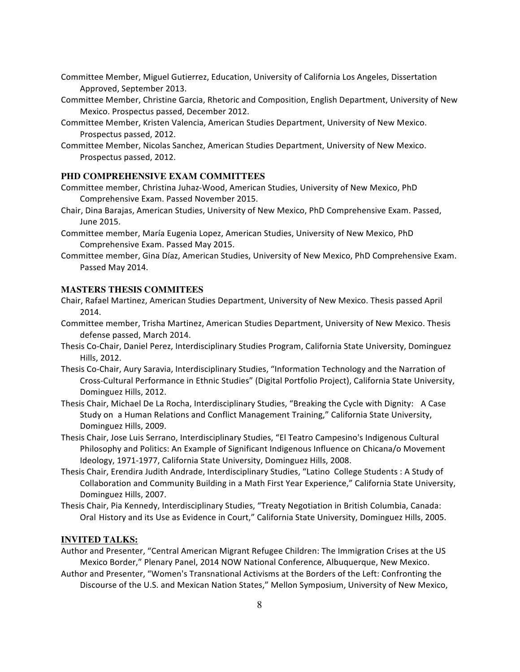- Committee Member, Miguel Gutierrez, Education, University of California Los Angeles, Dissertation Approved, September 2013.
- Committee Member, Christine Garcia, Rhetoric and Composition, English Department, University of New Mexico. Prospectus passed, December 2012.
- Committee Member, Kristen Valencia, American Studies Department, University of New Mexico. Prospectus passed, 2012.
- Committee Member, Nicolas Sanchez, American Studies Department, University of New Mexico. Prospectus passed, 2012.

### **PHD COMPREHENSIVE EXAM COMMITTEES**

Committee member, Christina Juhaz-Wood, American Studies, University of New Mexico, PhD Comprehensive Exam. Passed November 2015.

- Chair, Dina Barajas, American Studies, University of New Mexico, PhD Comprehensive Exam. Passed, June 2015.
- Committee member, María Eugenia Lopez, American Studies, University of New Mexico, PhD Comprehensive Exam. Passed May 2015.
- Committee member, Gina Díaz, American Studies, University of New Mexico, PhD Comprehensive Exam. Passed May 2014.

# **MASTERS THESIS COMMITEES**

- Chair, Rafael Martinez, American Studies Department, University of New Mexico. Thesis passed April 2014.
- Committee member, Trisha Martinez, American Studies Department, University of New Mexico. Thesis defense passed, March 2014.
- Thesis Co-Chair, Daniel Perez, Interdisciplinary Studies Program, California State University, Dominguez Hills, 2012.
- Thesis Co-Chair, Aury Saravia, Interdisciplinary Studies, "Information Technology and the Narration of Cross-Cultural Performance in Ethnic Studies" (Digital Portfolio Project), California State University, Dominguez Hills, 2012.
- Thesis Chair, Michael De La Rocha, Interdisciplinary Studies, "Breaking the Cycle with Dignity: A Case Study on a Human Relations and Conflict Management Training," California State University, Dominguez Hills, 2009.
- Thesis Chair, Jose Luis Serrano, Interdisciplinary Studies, "El Teatro Campesino's Indigenous Cultural Philosophy and Politics: An Example of Significant Indigenous Influence on Chicana/o Movement Ideology, 1971-1977, California State University, Dominguez Hills, 2008.
- Thesis Chair, Erendira Judith Andrade, Interdisciplinary Studies, "Latino College Students : A Study of Collaboration and Community Building in a Math First Year Experience," California State University, Dominguez Hills, 2007.
- Thesis Chair, Pia Kennedy, Interdisciplinary Studies, "Treaty Negotiation in British Columbia, Canada: Oral History and its Use as Evidence in Court," California State University, Dominguez Hills, 2005.

#### **INVITED TALKS:**

Author and Presenter, "Central American Migrant Refugee Children: The Immigration Crises at the US Mexico Border," Plenary Panel, 2014 NOW National Conference, Albuquerque, New Mexico.

Author and Presenter, "Women's Transnational Activisms at the Borders of the Left: Confronting the Discourse of the U.S. and Mexican Nation States," Mellon Symposium, University of New Mexico,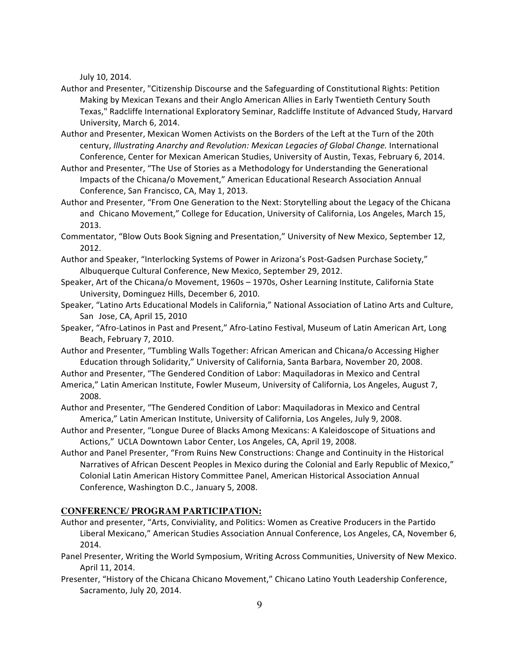July 10, 2014.

- Author and Presenter, "Citizenship Discourse and the Safeguarding of Constitutional Rights: Petition Making by Mexican Texans and their Anglo American Allies in Early Twentieth Century South Texas," Radcliffe International Exploratory Seminar, Radcliffe Institute of Advanced Study, Harvard University, March 6, 2014.
- Author and Presenter, Mexican Women Activists on the Borders of the Left at the Turn of the 20th century, *Illustrating Anarchy and Revolution: Mexican Legacies of Global Change. International* Conference, Center for Mexican American Studies, University of Austin, Texas, February 6, 2014.
- Author and Presenter, "The Use of Stories as a Methodology for Understanding the Generational Impacts of the Chicana/o Movement," American Educational Research Association Annual Conference, San Francisco, CA, May 1, 2013.
- Author and Presenter, "From One Generation to the Next: Storytelling about the Legacy of the Chicana and Chicano Movement," College for Education, University of California, Los Angeles, March 15, 2013.
- Commentator, "Blow Outs Book Signing and Presentation," University of New Mexico, September 12, 2012.
- Author and Speaker, "Interlocking Systems of Power in Arizona's Post-Gadsen Purchase Society," Albuquerque Cultural Conference, New Mexico, September 29, 2012.
- Speaker, Art of the Chicana/o Movement, 1960s 1970s, Osher Learning Institute, California State University, Dominguez Hills, December 6, 2010.
- Speaker, "Latino Arts Educational Models in California," National Association of Latino Arts and Culture, San Jose, CA, April 15, 2010
- Speaker, "Afro-Latinos in Past and Present," Afro-Latino Festival, Museum of Latin American Art, Long Beach, February 7, 2010.
- Author and Presenter, "Tumbling Walls Together: African American and Chicana/o Accessing Higher Education through Solidarity," University of California, Santa Barbara, November 20, 2008.
- Author and Presenter, "The Gendered Condition of Labor: Maquiladoras in Mexico and Central
- America," Latin American Institute, Fowler Museum, University of California, Los Angeles, August 7, 2008.
- Author and Presenter, "The Gendered Condition of Labor: Maquiladoras in Mexico and Central America," Latin American Institute, University of California, Los Angeles, July 9, 2008.
- Author and Presenter, "Longue Duree of Blacks Among Mexicans: A Kaleidoscope of Situations and Actions," UCLA Downtown Labor Center, Los Angeles, CA, April 19, 2008.
- Author and Panel Presenter, "From Ruins New Constructions: Change and Continuity in the Historical Narratives of African Descent Peoples in Mexico during the Colonial and Early Republic of Mexico," Colonial Latin American History Committee Panel, American Historical Association Annual Conference, Washington D.C., January 5, 2008.

# **CONFERENCE/ PROGRAM PARTICIPATION:**

- Author and presenter, "Arts, Conviviality, and Politics: Women as Creative Producers in the Partido Liberal Mexicano," American Studies Association Annual Conference, Los Angeles, CA, November 6, 2014.
- Panel Presenter, Writing the World Symposium, Writing Across Communities, University of New Mexico. April 11, 2014.
- Presenter, "History of the Chicana Chicano Movement," Chicano Latino Youth Leadership Conference, Sacramento, July 20, 2014.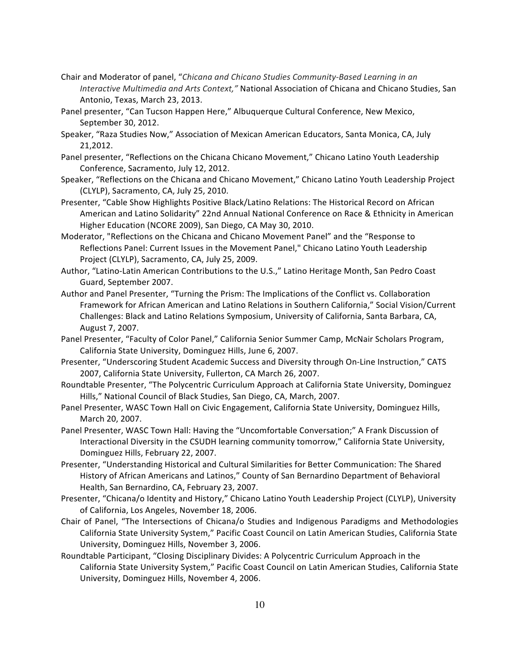- Chair and Moderator of panel, "*Chicana and Chicano Studies Community-Based Learning in an Interactive Multimedia and Arts Context,"* National Association of Chicana and Chicano Studies, San Antonio, Texas, March 23, 2013.
- Panel presenter, "Can Tucson Happen Here," Albuquerque Cultural Conference, New Mexico, September 30, 2012.
- Speaker, "Raza Studies Now," Association of Mexican American Educators, Santa Monica, CA, July 21,2012.
- Panel presenter, "Reflections on the Chicana Chicano Movement," Chicano Latino Youth Leadership Conference, Sacramento, July 12, 2012.
- Speaker, "Reflections on the Chicana and Chicano Movement," Chicano Latino Youth Leadership Project (CLYLP), Sacramento, CA, July 25, 2010.
- Presenter, "Cable Show Highlights Positive Black/Latino Relations: The Historical Record on African American and Latino Solidarity" 22nd Annual National Conference on Race & Ethnicity in American Higher Education (NCORE 2009), San Diego, CA May 30, 2010.
- Moderator, "Reflections on the Chicana and Chicano Movement Panel" and the "Response to Reflections Panel: Current Issues in the Movement Panel," Chicano Latino Youth Leadership Project (CLYLP), Sacramento, CA, July 25, 2009.
- Author, "Latino-Latin American Contributions to the U.S.," Latino Heritage Month, San Pedro Coast Guard, September 2007.
- Author and Panel Presenter, "Turning the Prism: The Implications of the Conflict vs. Collaboration Framework for African American and Latino Relations in Southern California," Social Vision/Current Challenges: Black and Latino Relations Symposium, University of California, Santa Barbara, CA, August 7, 2007.
- Panel Presenter, "Faculty of Color Panel," California Senior Summer Camp, McNair Scholars Program, California State University, Dominguez Hills, June 6, 2007.
- Presenter, "Underscoring Student Academic Success and Diversity through On-Line Instruction," CATS 2007, California State University, Fullerton, CA March 26, 2007.
- Roundtable Presenter, "The Polycentric Curriculum Approach at California State University, Dominguez Hills," National Council of Black Studies, San Diego, CA, March, 2007.
- Panel Presenter, WASC Town Hall on Civic Engagement, California State University, Dominguez Hills, March 20, 2007.
- Panel Presenter, WASC Town Hall: Having the "Uncomfortable Conversation;" A Frank Discussion of Interactional Diversity in the CSUDH learning community tomorrow," California State University, Dominguez Hills, February 22, 2007.
- Presenter, "Understanding Historical and Cultural Similarities for Better Communication: The Shared History of African Americans and Latinos," County of San Bernardino Department of Behavioral Health, San Bernardino, CA, February 23, 2007.
- Presenter, "Chicana/o Identity and History," Chicano Latino Youth Leadership Project (CLYLP), University of California, Los Angeles, November 18, 2006.
- Chair of Panel, "The Intersections of Chicana/o Studies and Indigenous Paradigms and Methodologies California State University System," Pacific Coast Council on Latin American Studies, California State University, Dominguez Hills, November 3, 2006.
- Roundtable Participant, "Closing Disciplinary Divides: A Polycentric Curriculum Approach in the California State University System," Pacific Coast Council on Latin American Studies, California State University, Dominguez Hills, November 4, 2006.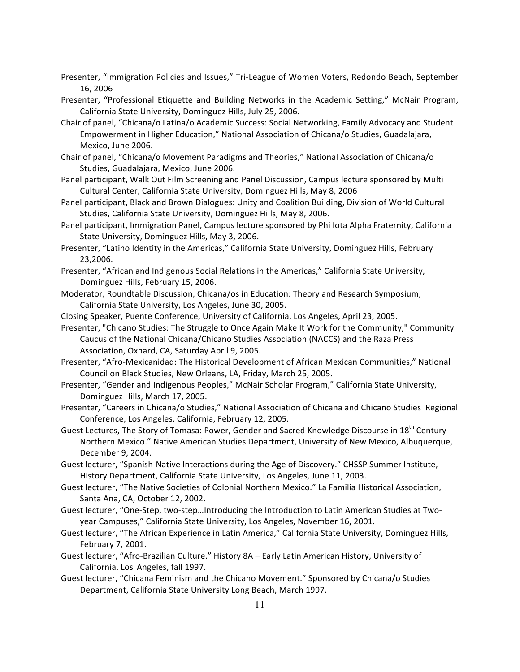- Presenter, "Immigration Policies and Issues," Tri-League of Women Voters, Redondo Beach, September 16, 2006
- Presenter, "Professional Etiquette and Building Networks in the Academic Setting," McNair Program, California State University, Dominguez Hills, July 25, 2006.
- Chair of panel, "Chicana/o Latina/o Academic Success: Social Networking, Family Advocacy and Student Empowerment in Higher Education," National Association of Chicana/o Studies, Guadalajara, Mexico, June 2006.
- Chair of panel, "Chicana/o Movement Paradigms and Theories," National Association of Chicana/o Studies, Guadalajara, Mexico, June 2006.
- Panel participant, Walk Out Film Screening and Panel Discussion, Campus lecture sponsored by Multi Cultural Center, California State University, Dominguez Hills, May 8, 2006
- Panel participant, Black and Brown Dialogues: Unity and Coalition Building, Division of World Cultural Studies, California State University, Dominguez Hills, May 8, 2006.
- Panel participant, Immigration Panel, Campus lecture sponsored by Phi Iota Alpha Fraternity, California State University, Dominguez Hills, May 3, 2006.
- Presenter, "Latino Identity in the Americas," California State University, Dominguez Hills, February 23,2006.
- Presenter, "African and Indigenous Social Relations in the Americas," California State University, Dominguez Hills, February 15, 2006.
- Moderator, Roundtable Discussion, Chicana/os in Education: Theory and Research Symposium, California State University, Los Angeles, June 30, 2005.
- Closing Speaker, Puente Conference, University of California, Los Angeles, April 23, 2005.
- Presenter, "Chicano Studies: The Struggle to Once Again Make It Work for the Community," Community Caucus of the National Chicana/Chicano Studies Association (NACCS) and the Raza Press Association, Oxnard, CA, Saturday April 9, 2005.
- Presenter, "Afro-Mexicanidad: The Historical Development of African Mexican Communities," National Council on Black Studies, New Orleans, LA, Friday, March 25, 2005.
- Presenter, "Gender and Indigenous Peoples," McNair Scholar Program," California State University, Dominguez Hills, March 17, 2005.
- Presenter, "Careers in Chicana/o Studies," National Association of Chicana and Chicano Studies Regional Conference, Los Angeles, California, February 12, 2005.
- Guest Lectures, The Story of Tomasa: Power, Gender and Sacred Knowledge Discourse in 18<sup>th</sup> Century Northern Mexico." Native American Studies Department, University of New Mexico, Albuquerque, December 9, 2004.
- Guest lecturer, "Spanish-Native Interactions during the Age of Discovery." CHSSP Summer Institute, History Department, California State University, Los Angeles, June 11, 2003.
- Guest lecturer, "The Native Societies of Colonial Northern Mexico." La Familia Historical Association, Santa Ana, CA, October 12, 2002.
- Guest lecturer, "One-Step, two-step... Introducing the Introduction to Latin American Studies at Twoyear Campuses," California State University, Los Angeles, November 16, 2001.
- Guest lecturer, "The African Experience in Latin America," California State University, Dominguez Hills, February 7, 2001.
- Guest lecturer, "Afro-Brazilian Culture." History 8A Early Latin American History, University of California, Los Angeles, fall 1997.
- Guest lecturer, "Chicana Feminism and the Chicano Movement." Sponsored by Chicana/o Studies Department, California State University Long Beach, March 1997.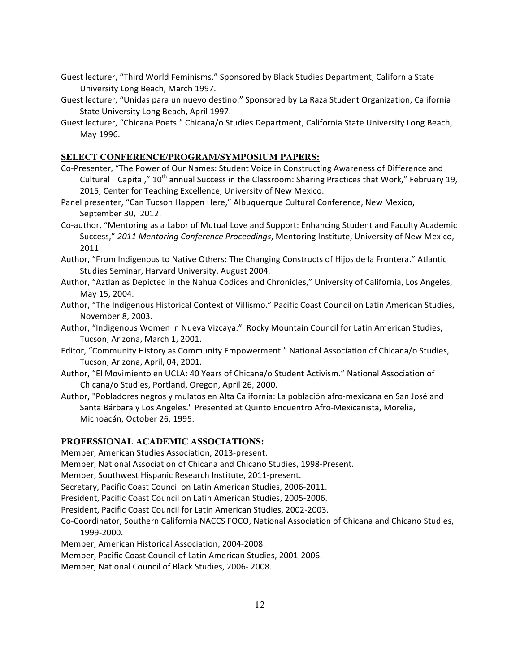- Guest lecturer, "Third World Feminisms." Sponsored by Black Studies Department, California State University Long Beach, March 1997.
- Guest lecturer, "Unidas para un nuevo destino." Sponsored by La Raza Student Organization, California State University Long Beach, April 1997.
- Guest lecturer, "Chicana Poets." Chicana/o Studies Department, California State University Long Beach, May 1996.

# **SELECT CONFERENCE/PROGRAM/SYMPOSIUM PAPERS:**

- Co-Presenter, "The Power of Our Names: Student Voice in Constructing Awareness of Difference and Cultural Capital,"  $10^{th}$  annual Success in the Classroom: Sharing Practices that Work," February 19, 2015, Center for Teaching Excellence, University of New Mexico.
- Panel presenter, "Can Tucson Happen Here," Albuquerque Cultural Conference, New Mexico, September 30, 2012.
- Co-author, "Mentoring as a Labor of Mutual Love and Support: Enhancing Student and Faculty Academic Success," 2011 Mentoring Conference Proceedings, Mentoring Institute, University of New Mexico, 2011.
- Author, "From Indigenous to Native Others: The Changing Constructs of Hijos de la Frontera." Atlantic Studies Seminar, Harvard University, August 2004.
- Author, "Aztlan as Depicted in the Nahua Codices and Chronicles," University of California, Los Angeles, May 15, 2004.
- Author, "The Indigenous Historical Context of Villismo." Pacific Coast Council on Latin American Studies, November 8, 2003.
- Author, "Indigenous Women in Nueva Vizcaya." Rocky Mountain Council for Latin American Studies, Tucson, Arizona, March 1, 2001.
- Editor, "Community History as Community Empowerment." National Association of Chicana/o Studies, Tucson, Arizona, April, 04, 2001.
- Author, "El Movimiento en UCLA: 40 Years of Chicana/o Student Activism." National Association of Chicana/o Studies, Portland, Oregon, April 26, 2000.
- Author, "Pobladores negros y mulatos en Alta California: La población afro-mexicana en San José and Santa Bárbara y Los Angeles." Presented at Quinto Encuentro Afro-Mexicanista, Morelia, Michoacán, October 26, 1995.

### **PROFESSIONAL ACADEMIC ASSOCIATIONS:**

Member, American Studies Association, 2013-present.

Member, National Association of Chicana and Chicano Studies, 1998-Present.

Member, Southwest Hispanic Research Institute, 2011-present.

Secretary, Pacific Coast Council on Latin American Studies, 2006-2011.

President, Pacific Coast Council on Latin American Studies, 2005-2006.

President, Pacific Coast Council for Latin American Studies, 2002-2003.

- Co-Coordinator, Southern California NACCS FOCO, National Association of Chicana and Chicano Studies, 1999-2000.
- Member, American Historical Association, 2004-2008.
- Member, Pacific Coast Council of Latin American Studies, 2001-2006.
- Member, National Council of Black Studies, 2006-2008.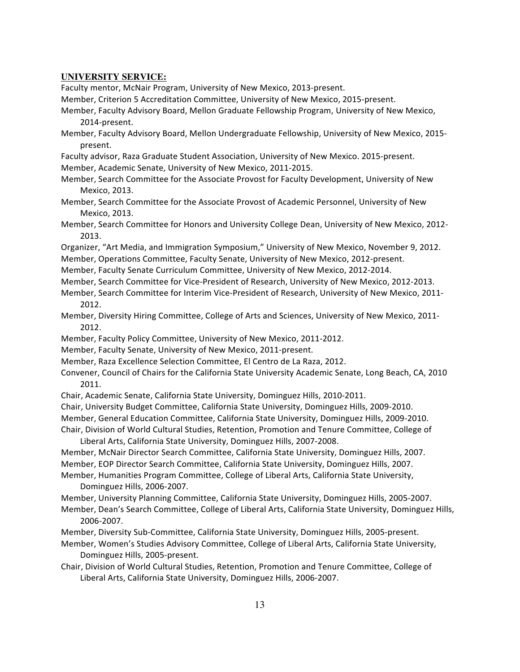### **UNIVERSITY SERVICE:**

Faculty mentor, McNair Program, University of New Mexico, 2013-present.

Member, Criterion 5 Accreditation Committee, University of New Mexico, 2015-present.

- Member, Faculty Advisory Board, Mellon Graduate Fellowship Program, University of New Mexico, 2014-present.
- Member, Faculty Advisory Board, Mellon Undergraduate Fellowship, University of New Mexico, 2015present.
- Faculty advisor, Raza Graduate Student Association, University of New Mexico. 2015-present.
- Member, Academic Senate, University of New Mexico, 2011-2015.
- Member, Search Committee for the Associate Provost for Faculty Development, University of New Mexico, 2013.
- Member, Search Committee for the Associate Provost of Academic Personnel, University of New Mexico, 2013.

Member, Search Committee for Honors and University College Dean, University of New Mexico, 2012-2013.

Organizer, "Art Media, and Immigration Symposium," University of New Mexico, November 9, 2012.

Member, Operations Committee, Faculty Senate, University of New Mexico, 2012-present.

Member, Faculty Senate Curriculum Committee, University of New Mexico, 2012-2014.

- Member, Search Committee for Vice-President of Research, University of New Mexico, 2012-2013.
- Member, Search Committee for Interim Vice-President of Research, University of New Mexico, 2011-2012.
- Member, Diversity Hiring Committee, College of Arts and Sciences, University of New Mexico, 2011-2012.
- Member, Faculty Policy Committee, University of New Mexico, 2011-2012.
- Member, Faculty Senate, University of New Mexico, 2011-present.
- Member, Raza Excellence Selection Committee, El Centro de La Raza, 2012.
- Convener, Council of Chairs for the California State University Academic Senate, Long Beach, CA, 2010 2011.
- Chair, Academic Senate, California State University, Dominguez Hills, 2010-2011.

Chair, University Budget Committee, California State University, Dominguez Hills, 2009-2010.

Member, General Education Committee, California State University, Dominguez Hills, 2009-2010. Chair, Division of World Cultural Studies, Retention, Promotion and Tenure Committee, College of

Liberal Arts, California State University, Dominguez Hills, 2007-2008.

- Member, McNair Director Search Committee, California State University, Dominguez Hills, 2007. Member, EOP Director Search Committee, California State University, Dominguez Hills, 2007.
- Member, Humanities Program Committee, College of Liberal Arts, California State University, Dominguez Hills, 2006-2007.

Member, University Planning Committee, California State University, Dominguez Hills, 2005-2007.

Member, Dean's Search Committee, College of Liberal Arts, California State University, Dominguez Hills, 2006-2007.

Member, Diversity Sub-Committee, California State University, Dominguez Hills, 2005-present.

- Member, Women's Studies Advisory Committee, College of Liberal Arts, California State University, Dominguez Hills, 2005-present.
- Chair, Division of World Cultural Studies, Retention, Promotion and Tenure Committee, College of Liberal Arts, California State University, Dominguez Hills, 2006-2007.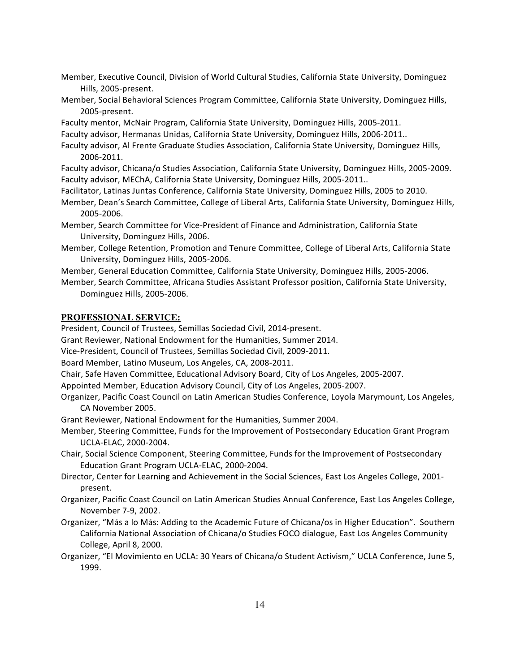- Member, Executive Council, Division of World Cultural Studies, California State University, Dominguez Hills, 2005-present.
- Member, Social Behavioral Sciences Program Committee, California State University, Dominguez Hills, 2005-present.
- Faculty mentor, McNair Program, California State University, Dominguez Hills, 2005-2011.
- Faculty advisor, Hermanas Unidas, California State University, Dominguez Hills, 2006-2011..
- Faculty advisor, Al Frente Graduate Studies Association, California State University, Dominguez Hills, 2006-2011.
- Faculty advisor, Chicana/o Studies Association, California State University, Dominguez Hills, 2005-2009. Faculty advisor, MEChA, California State University, Dominguez Hills, 2005-2011..
- Facilitator, Latinas Juntas Conference, California State University, Dominguez Hills, 2005 to 2010.
- Member, Dean's Search Committee, College of Liberal Arts, California State University, Dominguez Hills, 2005-2006.
- Member, Search Committee for Vice-President of Finance and Administration, California State University, Dominguez Hills, 2006.
- Member, College Retention, Promotion and Tenure Committee, College of Liberal Arts, California State University, Dominguez Hills, 2005-2006.
- Member, General Education Committee, California State University, Dominguez Hills, 2005-2006.
- Member, Search Committee, Africana Studies Assistant Professor position, California State University, Dominguez Hills, 2005-2006.

# **PROFESSIONAL SERVICE:**

President, Council of Trustees, Semillas Sociedad Civil, 2014-present.

Grant Reviewer, National Endowment for the Humanities, Summer 2014.

Vice-President, Council of Trustees, Semillas Sociedad Civil, 2009-2011.

Board Member, Latino Museum, Los Angeles, CA, 2008-2011.

Chair, Safe Haven Committee, Educational Advisory Board, City of Los Angeles, 2005-2007.

Appointed Member, Education Advisory Council, City of Los Angeles, 2005-2007.

- Organizer, Pacific Coast Council on Latin American Studies Conference, Loyola Marymount, Los Angeles, CA November 2005.
- Grant Reviewer, National Endowment for the Humanities, Summer 2004.
- Member, Steering Committee, Funds for the Improvement of Postsecondary Education Grant Program UCLA-ELAC, 2000-2004.
- Chair, Social Science Component, Steering Committee, Funds for the Improvement of Postsecondary Education Grant Program UCLA-ELAC, 2000-2004.
- Director, Center for Learning and Achievement in the Social Sciences, East Los Angeles College, 2001present.
- Organizer, Pacific Coast Council on Latin American Studies Annual Conference, East Los Angeles College, November 7-9, 2002.
- Organizer, "Más a lo Más: Adding to the Academic Future of Chicana/os in Higher Education". Southern California National Association of Chicana/o Studies FOCO dialogue, East Los Angeles Community College, April 8, 2000.
- Organizer, "El Movimiento en UCLA: 30 Years of Chicana/o Student Activism," UCLA Conference, June 5, 1999.